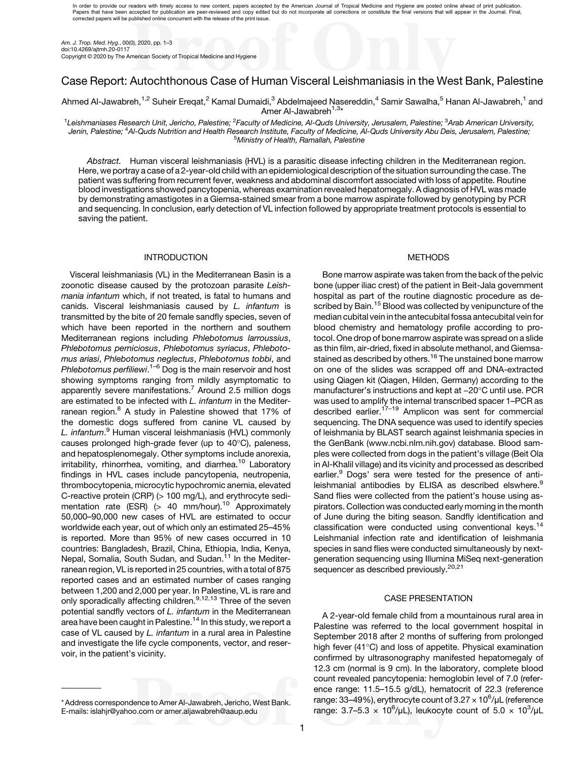In order to provide our readers with timely access to new content, papers accepted by the American Journal of Tropical Medicine and Hygiene are posted online ahead of print publication. Papers that have been accepted for publication are peer-reviewed and copy edited but do not incorporate all corrections or constitute the final versions that will appear in the Journal. Final,<br>corrected papers will be publ

Am. J. Trop. Med. Hyg., 00(0), 2020, pp. 1–3 doi:10.4269/ajtmh.20-0117 Copyright © 2020 by The American Society of Tropical Medicine and Hygiene

# Case Report: Autochthonous Case of Human Visceral Leishmaniasis in the West Bank, Palestine

Ahmed Al-Jawabreh,<sup>1,2</sup> Suheir Eregat,<sup>2</sup> Kamal Dumaidi,<sup>3</sup> Abdelmaieed Nasereddin,<sup>4</sup> Samir Sawalha,<sup>5</sup> Hanan Al-Jawabreh,<sup>1</sup> and Amer Al-Jawabreh<sup>1,3\*</sup>

<sup>1</sup>Leishmaniases Research Unit, Jericho, Palestine; <sup>2</sup>Faculty of Medicine, Al-Quds University, Jerusalem, Palestine; <sup>3</sup>Arab American University, Jenin, Palestine; <sup>3</sup>Arab American University, Jenin, Palestine; <sup>4</sup>Al-Quds Ministry of Health, Ramallah, Palestine

Abstract. Human visceral leishmaniasis (HVL) is a parasitic disease infecting children in the Mediterranean region. Here, we portray a case of a 2-year-old child with an epidemiological description of the situation surrounding the case. The patient was suffering from recurrent fever, weakness and abdominal discomfort associated with loss of appetite. Routine blood investigations showed pancytopenia, whereas examination revealed hepatomegaly. A diagnosis of HVL was made by demonstrating amastigotes in a Giemsa-stained smear from a bone marrow aspirate followed by genotyping by PCR and sequencing. In conclusion, early detection of VL infection followed by appropriate treatment protocols is essential to saving the patient.

### INTRODUCTION

Visceral leishmaniasis (VL) in the Mediterranean Basin is a zoonotic disease caused by the protozoan parasite Leishmania infantum which, if not treated, is fatal to humans and canids. Visceral leishmaniasis caused by L. infantum is transmitted by the bite of 20 female sandfly species, seven of which have been reported in the northern and southern Mediterranean regions including Phlebotomus larroussius, Phlebotomus perniciosus, Phlebotomus syriacus, Phlebotomus ariasi, Phlebotomus neglectus, Phlebotomus tobbi, and Phlebotomus perfiliewi.<sup>[1](#page-2-0)–[6](#page-2-0)</sup> Dog is the main reservoir and host showing symptoms ranging from mildly asymptomatic to apparently severe manifestations.<sup>[7](#page-2-0)</sup> Around 2.5 million dogs are estimated to be infected with L. infantum in the Mediter-ranean region.<sup>[8](#page-2-0)</sup> A study in Palestine showed that 17% of the domestic dogs suffered from canine VL caused by L. infantum.<sup>[9](#page-2-0)</sup> Human visceral leishmaniasis (HVL) commonly causes prolonged high-grade fever (up to  $40^{\circ}$ C), paleness, and hepatosplenomegaly. Other symptoms include anorexia,  $irritability$ , rhinorrhea, vomiting, and diarrhea.<sup>[10](#page-2-0)</sup> Laboratory findings in HVL cases include pancytopenia, neutropenia, thrombocytopenia, microcytic hypochromic anemia, elevated C-reactive protein (CRP) (> 100 mg/L), and erythrocyte sedimentation rate (ESR)  $(> 40$  mm/hour).<sup>[10](#page-2-0)</sup> Approximately 50,000–90,000 new cases of HVL are estimated to occur worldwide each year, out of which only an estimated 25–45% is reported. More than 95% of new cases occurred in 10 countries: Bangladesh, Brazil, China, Ethiopia, India, Kenya, Nepal, Somalia, South Sudan, and Sudan.<sup>[11](#page-2-0)</sup> In the Mediterranean region, VL is reported in 25 countries, with a total of 875 reported cases and an estimated number of cases ranging between 1,200 and 2,000 per year. In Palestine, VL is rare and only sporadically affecting children.<sup>[9,12,13](#page-2-0)</sup> Three of the seven potential sandfly vectors of L. infantum in the Mediterranean area have been caught in Palestine.<sup>[14](#page-2-0)</sup> In this study, we report a case of VL caused by L. infantum in a rural area in Palestine and investigate the life cycle components, vector, and reservoir, in the patient's vicinity.

# METHODS

Bone marrow aspirate was taken from the back of the pelvic bone (upper iliac crest) of the patient in Beit-Jala government hospital as part of the routine diagnostic procedure as de-scribed by Bain.<sup>[15](#page-2-0)</sup> Blood was collected by venipuncture of the median cubital vein in the antecubital fossa antecubital vein for blood chemistry and hematology profile according to protocol. One drop of bone marrow aspirate was spread on a slide as thin film, air-dried, fixed in absolute methanol, and Giemsa-stained as described by others.<sup>[16](#page-2-0)</sup> The unstained bone marrow on one of the slides was scrapped off and DNA-extracted using Qiagen kit (Qiagen, Hilden, Germany) according to the stained as described by others. "°The unstained bone marrow<br>on one of the slides was scrapped off and DNA-extracted<br>using Qiagen kit (Qiagen, Hilden, Germany) according to the<br>manufacturer's instructions and kept at −20°C was used to amplify the internal transcribed spacer 1–PCR as described earlier.<sup>[17](#page-2-0)-[19](#page-2-0)</sup> Amplicon was sent for commercial sequencing. The DNA sequence was used to identify species of leishmania by BLAST search against leishmania species in the GenBank [\(www.ncbi.nlm.nih.gov\)](http://www.ncbi.nlm.nih.gov) database. Blood samples were collected from dogs in the patient's village (Beit Ola in Al-Khalil village) and its vicinity and processed as described earlier.<sup>[9](#page-2-0)</sup> Dogs' sera were tested for the presence of anti-leishmanial antibodies by ELISA as described elswhere.<sup>[9](#page-2-0)</sup> Sand flies were collected from the patient's house using aspirators. Collection was conducted early morning in the month of June during the biting season. Sandfly identification and classification were conducted using conventional keys.<sup>14</sup> Leishmanial infection rate and identification of leishmania species in sand flies were conducted simultaneously by nextgeneration sequencing using Illumina MiSeq next-generation sequencer as described previously.<sup>[20,21](#page-2-0)</sup>

## CASE PRESENTATION

A 2-year-old female child from a mountainous rural area in Palestine was referred to the local government hospital in September 2018 after 2 months of suffering from prolonged high fever  $(41^{\circ}C)$  and loss of appetite. Physical examination confirmed by ultrasonography manifested hepatomegaly of 12.3 cm (normal is 9 cm). In the laboratory, complete blood count revealed pancytopenia: hemoglobin level of 7.0 (reference range: 11.5–15.5 g/dL), hematocrit of 22.3 (reference range: 33–49%), erythrocyte count of 3.27  $\times$  10<sup>6</sup>/µL (reference range:  $3.7 - 5.3 \times 10^6$ /µL), leukocyte count of  $5.0 \times 10^3$ /µL

<sup>\*</sup> Address correspondence to Amer Al-Jawabreh, Jericho, West Bank. E-mails: [islahjr@yahoo.com](mailto:islahjr@yahoo.com) or [amer.aljawabreh@aaup.edu](mailto:amer.aljawabreh@aaup.edu)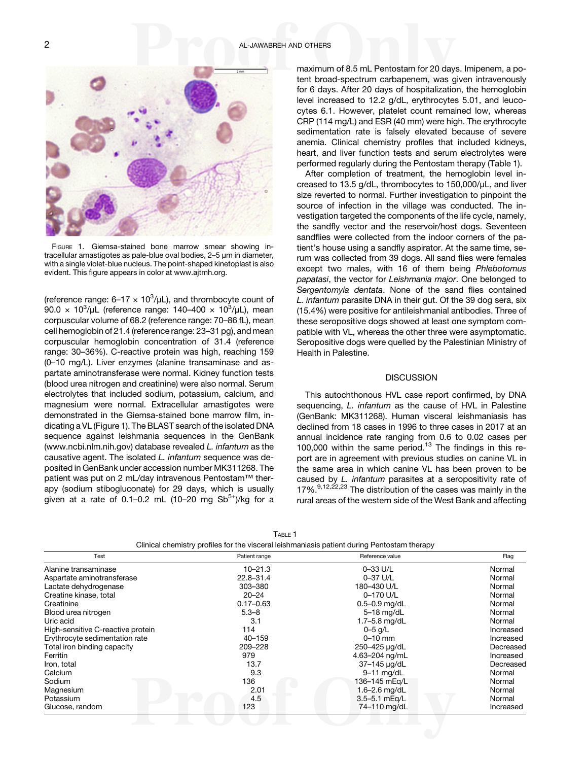

FIGURE 1. Giemsa-stained bone marrow smear showing intracellular amastigotes as pale-blue oval bodies, 2–5 μm in diameter, with a single violet-blue nucleus. The point-shaped kinetoplast is also evident. This figure appears in color at [www.ajtmh.org.](http://www.ajtmh.org)

(reference range:  $6-17 \times 10^3/\mu$ L), and thrombocyte count of 90.0 x 10<sup>3</sup>/μL (reference range: 140–400 x 10<sup>3</sup>/μL), mean corpuscular volume of 68.2 (reference range: 70–86 fL), mean cell hemoglobin of 21.4 (reference range: 23–31 pg), and mean corpuscular hemoglobin concentration of 31.4 (reference range: 30–36%). C-reactive protein was high, reaching 159 (0–10 mg/L). Liver enzymes (alanine transaminase and aspartate aminotransferase were normal. Kidney function tests (blood urea nitrogen and creatinine) were also normal. Serum electrolytes that included sodium, potassium, calcium, and magnesium were normal. Extracellular amastigotes were demonstrated in the Giemsa-stained bone marrow film, indicating a VL (Figure 1). The BLAST search of the isolated DNA sequence against leishmania sequences in the GenBank [\(www.ncbi.nlm.nih.gov](http://www.ncbi.nlm.nih.gov)) database revealed L. infantum as the causative agent. The isolated L. infantum sequence was deposited in GenBank under accession number MK311268. The patient was put on 2 mL/day intravenous Pentostam™ therapy (sodium stibogluconate) for 29 days, which is usually given at a rate of 0.1–0.2 mL (10–20 mg  $Sb^{5+}$ )/kg for a

maximum of 8.5 mL Pentostam for 20 days. Imipenem, a potent broad-spectrum carbapenem, was given intravenously for 6 days. After 20 days of hospitalization, the hemoglobin level increased to 12.2 g/dL, erythrocytes 5.01, and leucocytes 6.1. However, platelet count remained low, whereas CRP (114 mg/L) and ESR (40 mm) were high. The erythrocyte sedimentation rate is falsely elevated because of severe anemia. Clinical chemistry profiles that included kidneys, heart, and liver function tests and serum electrolytes were performed regularly during the Pentostam therapy (Table 1).

After completion of treatment, the hemoglobin level increased to 13.5 g/dL, thrombocytes to 150,000/μL, and liver size reverted to normal. Further investigation to pinpoint the source of infection in the village was conducted. The investigation targeted the components of the life cycle, namely, the sandfly vector and the reservoir/host dogs. Seventeen sandflies were collected from the indoor corners of the patient's house using a sandfly aspirator. At the same time, serum was collected from 39 dogs. All sand flies were females except two males, with 16 of them being Phlebotomus papatasi, the vector for Leishmania major. One belonged to Sergentomyia dentata. None of the sand flies contained L. infantum parasite DNA in their gut. Of the 39 dog sera, six (15.4%) were positive for antileishmanial antibodies. Three of these seropositive dogs showed at least one symptom compatible with VL, whereas the other three were asymptomatic. Seropositive dogs were quelled by the Palestinian Ministry of Health in Palestine.

#### **DISCUSSION**

This autochthonous HVL case report confirmed, by DNA sequencing, L. infantum as the cause of HVL in Palestine (GenBank: MK311268). Human visceral leishmaniasis has declined from 18 cases in 1996 to three cases in 2017 at an annual incidence rate ranging from 0.6 to 0.02 cases per 100,000 within the same period. $13$  The findings in this report are in agreement with previous studies on canine VL in the same area in which canine VL has been proven to be caused by L. infantum parasites at a seropositivity rate of 17%.<sup>9,[12,22,23](#page-2-0)</sup> The distribution of the cases was mainly in the rural areas of the western side of the West Bank and affecting

| Test                              | Patient range | Reference value   | Flag      |
|-----------------------------------|---------------|-------------------|-----------|
| Alanine transaminase              | $10 - 21.3$   | 0-33 U/L          | Normal    |
| Aspartate aminotransferase        | 22.8-31.4     | 0-37 U/L          | Normal    |
| Lactate dehydrogenase             | 303-380       | 180-430 U/L       | Normal    |
| Creatine kinase, total            | $20 - 24$     | 0-170 U/L         | Normal    |
| Creatinine                        | $0.17 - 0.63$ | $0.5 - 0.9$ mg/dL | Normal    |
| Blood urea nitrogen               | $5.3 - 8$     | 5-18 mg/dL        | Normal    |
| Uric acid                         | 3.1           | 1.7 $-5.8$ mg/dL  | Normal    |
| High-sensitive C-reactive protein | 114           | $0 - 5$ g/L       | Increased |
| Erythrocyte sedimentation rate    | 40-159        | $0 - 10$ mm       | Increased |
| Total iron binding capacity       | 209-228       | 250-425 µg/dL     | Decreased |
| Ferritin                          | 979           | 4.63-204 ng/mL    | Increased |
| Iron, total                       | 13.7          | 37-145 µg/dL      | Decreased |
| Calcium                           | 9.3           | $9-11$ mg/dL      | Normal    |
| Sodium                            | 136           | 136–145 mEg/L     | Normal    |
| Magnesium                         | 2.01          | 1.6-2.6 $mq/dL$   | Normal    |
| Potassium                         | 4.5           | 3.5-5.1 mEg/L     | Normal    |
| Glucose, random                   | 123           | 74-110 mg/dL      | Increased |

TABLE 1 Clinical chemistry profiles for the visceral leishmaniasis patient during Pentostam therapy